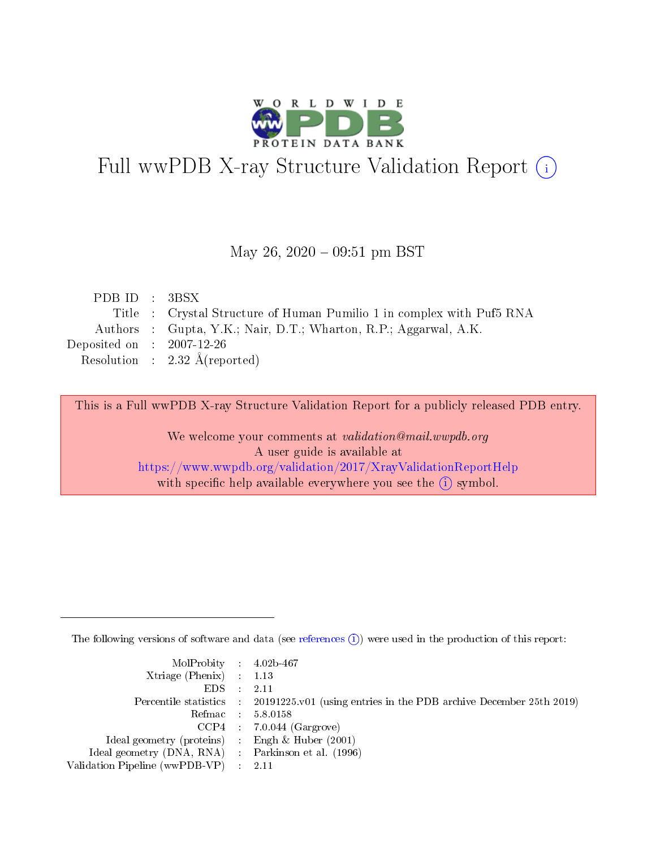

# Full wwPDB X-ray Structure Validation Report (i)

#### May 26,  $2020 - 09:51$  pm BST

| PDBID : 3BSX                |                                                                       |
|-----------------------------|-----------------------------------------------------------------------|
|                             | Title : Crystal Structure of Human Pumilio 1 in complex with Puf5 RNA |
|                             | Authors : Gupta, Y.K.; Nair, D.T.; Wharton, R.P.; Aggarwal, A.K.      |
| Deposited on : $2007-12-26$ |                                                                       |
|                             | Resolution : $2.32 \text{ Å}$ (reported)                              |
|                             |                                                                       |

This is a Full wwPDB X-ray Structure Validation Report for a publicly released PDB entry.

We welcome your comments at validation@mail.wwpdb.org A user guide is available at <https://www.wwpdb.org/validation/2017/XrayValidationReportHelp> with specific help available everywhere you see the  $(i)$  symbol.

The following versions of software and data (see [references](https://www.wwpdb.org/validation/2017/XrayValidationReportHelp#references)  $(i)$ ) were used in the production of this report:

| MolProbity : $4.02b-467$                            |                                                                                            |
|-----------------------------------------------------|--------------------------------------------------------------------------------------------|
| Xtriage (Phenix) $: 1.13$                           |                                                                                            |
| EDS -                                               | 2.11                                                                                       |
|                                                     | Percentile statistics : 20191225.v01 (using entries in the PDB archive December 25th 2019) |
|                                                     | Refmac 58.0158                                                                             |
|                                                     | $CCP4$ 7.0.044 (Gargrove)                                                                  |
| Ideal geometry (proteins) : Engh $\&$ Huber (2001)  |                                                                                            |
| Ideal geometry (DNA, RNA) : Parkinson et al. (1996) |                                                                                            |
| Validation Pipeline (wwPDB-VP)                      | -2.11                                                                                      |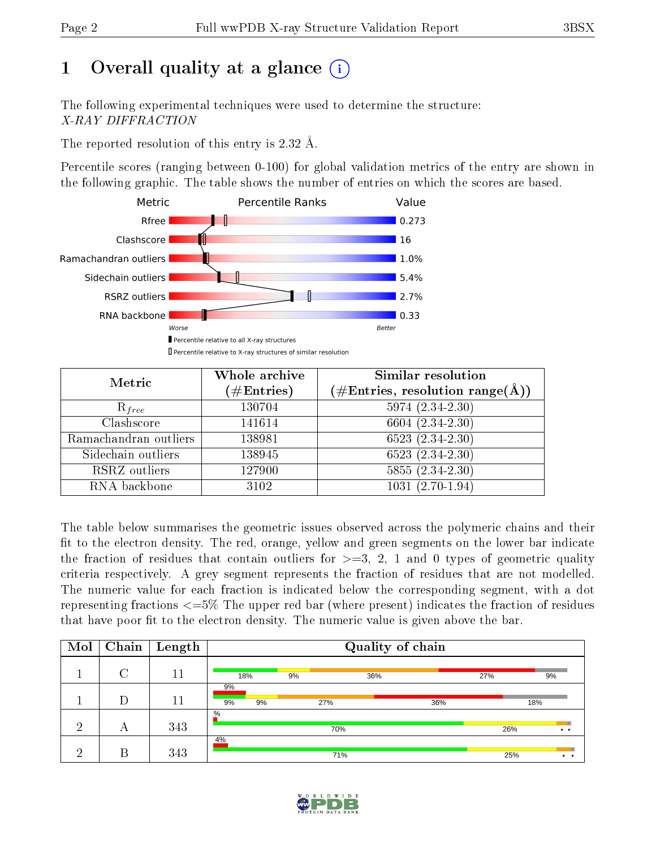# 1 [O](https://www.wwpdb.org/validation/2017/XrayValidationReportHelp#overall_quality)verall quality at a glance  $(i)$

The following experimental techniques were used to determine the structure: X-RAY DIFFRACTION

The reported resolution of this entry is 2.32 Å.

Percentile scores (ranging between 0-100) for global validation metrics of the entry are shown in the following graphic. The table shows the number of entries on which the scores are based.



| Metric                | Whole archive        | <b>Similar resolution</b>                                 |
|-----------------------|----------------------|-----------------------------------------------------------|
|                       | $(\#\text{Entries})$ | $(\#\text{Entries}, \text{resolution range}(\text{\AA}))$ |
| $R_{free}$            | 130704               | $5974(2.34-2.30)$                                         |
| Clashscore            | 141614               | 6604 (2.34-2.30)                                          |
| Ramachandran outliers | 138981               | $6523(2.34-2.30)$                                         |
| Sidechain outliers    | 138945               | $6523(2.34-2.30)$                                         |
| RSRZ outliers         | 127900               | $5855(2.34-2.30)$                                         |
| RNA backbone          | 3102                 | $1031(2.70-1.94)$                                         |

The table below summarises the geometric issues observed across the polymeric chains and their fit to the electron density. The red, orange, yellow and green segments on the lower bar indicate the fraction of residues that contain outliers for  $>=3, 2, 1$  and 0 types of geometric quality criteria respectively. A grey segment represents the fraction of residues that are not modelled. The numeric value for each fraction is indicated below the corresponding segment, with a dot representing fractions  $\epsilon = 5\%$  The upper red bar (where present) indicates the fraction of residues that have poor fit to the electron density. The numeric value is given above the bar.

| Mol | Chain  | Length |                | Quality of chain |     |     |     |                       |  |
|-----|--------|--------|----------------|------------------|-----|-----|-----|-----------------------|--|
|     | $\cap$ | 11     | 18%            | 9%               | 36% |     | 27% | 9%                    |  |
|     | D      | 11     | 9%<br>9%<br>9% |                  | 27% | 36% |     | 18%                   |  |
| ച   | А      | 343    | $\%$           |                  | 70% |     | 26% | $\bullet\quad\bullet$ |  |
| ച   | В      | 343    | 4%             |                  | 71% |     | 25% | . .                   |  |

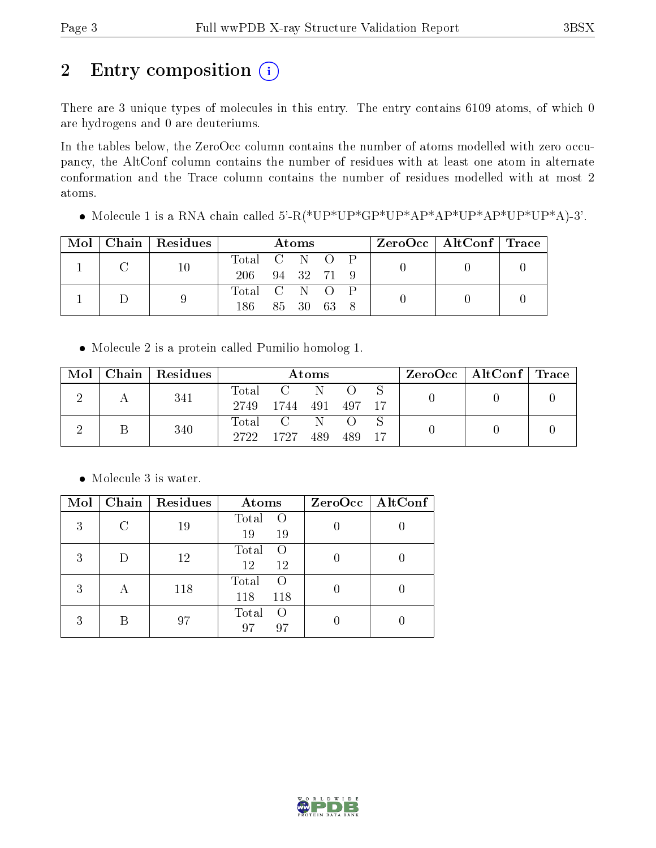# 2 Entry composition (i)

There are 3 unique types of molecules in this entry. The entry contains 6109 atoms, of which 0 are hydrogens and 0 are deuteriums.

In the tables below, the ZeroOcc column contains the number of atoms modelled with zero occupancy, the AltConf column contains the number of residues with at least one atom in alternate conformation and the Trace column contains the number of residues modelled with at most 2 atoms.

• Molecule 1 is a RNA chain called  $5'-R(*UP*UP*GP*UP*AP*AP*UP*AP*UP*AP*UP*UP*A)-3'$ .

|  | $\text{Mol}$   Chain   Residues | Atoms          |          |  |  |  | $ZeroOcc \mid AltConf \mid Trace \mid$ |  |
|--|---------------------------------|----------------|----------|--|--|--|----------------------------------------|--|
|  |                                 | Total C N O P  |          |  |  |  |                                        |  |
|  |                                 | 206 94 32 71 9 |          |  |  |  |                                        |  |
|  |                                 | Total C N O P  |          |  |  |  |                                        |  |
|  |                                 | 186            | 85 30 63 |  |  |  |                                        |  |

Molecule 2 is a protein called Pumilio homolog 1.

| Mol | Chain Residues | Atoms                    |                                           |     |       | $ZeroOcc \mid AltConf \mid Trace \mid$ |  |  |
|-----|----------------|--------------------------|-------------------------------------------|-----|-------|----------------------------------------|--|--|
|     | 341            | Total<br>2749            | 1744 491                                  | -N  | - 497 |                                        |  |  |
|     | 340            | $\mathrm{Total}$<br>2722 | $\overline{C}$ and $\overline{C}$<br>1727 | 489 | 489   |                                        |  |  |

• Molecule 3 is water.

| Mol |                         | Chain   Residues | Atoms                                 | $ZeroOcc \mid AltConf \mid$ |
|-----|-------------------------|------------------|---------------------------------------|-----------------------------|
| 3   | С                       | 19               | Total<br>$\left($<br>19<br>19         |                             |
| 3   | D                       | 12               | Total<br>$\left( \right)$<br>12<br>12 |                             |
| 3   | $\overline{\mathsf{A}}$ | 118              | Total<br>$\left($<br>118<br>118       |                             |
| 3   |                         | 97               | Total<br>$\left( \right)$<br>97<br>97 |                             |

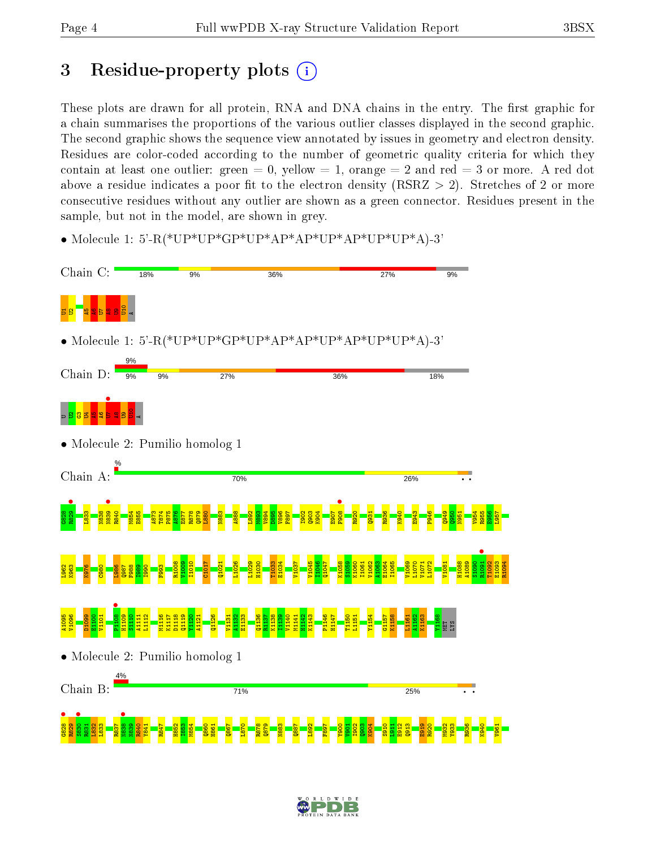# 3 Residue-property plots  $(i)$

These plots are drawn for all protein, RNA and DNA chains in the entry. The first graphic for a chain summarises the proportions of the various outlier classes displayed in the second graphic. The second graphic shows the sequence view annotated by issues in geometry and electron density. Residues are color-coded according to the number of geometric quality criteria for which they contain at least one outlier: green  $= 0$ , yellow  $= 1$ , orange  $= 2$  and red  $= 3$  or more. A red dot above a residue indicates a poor fit to the electron density (RSRZ  $> 2$ ). Stretches of 2 or more consecutive residues without any outlier are shown as a green connector. Residues present in the sample, but not in the model, are shown in grey.

• Molecule 1: 5'-R(\*UP\*UP\*GP\*UP\*AP\*AP\*UP\*AP\*UP\*UP\*A)-3'



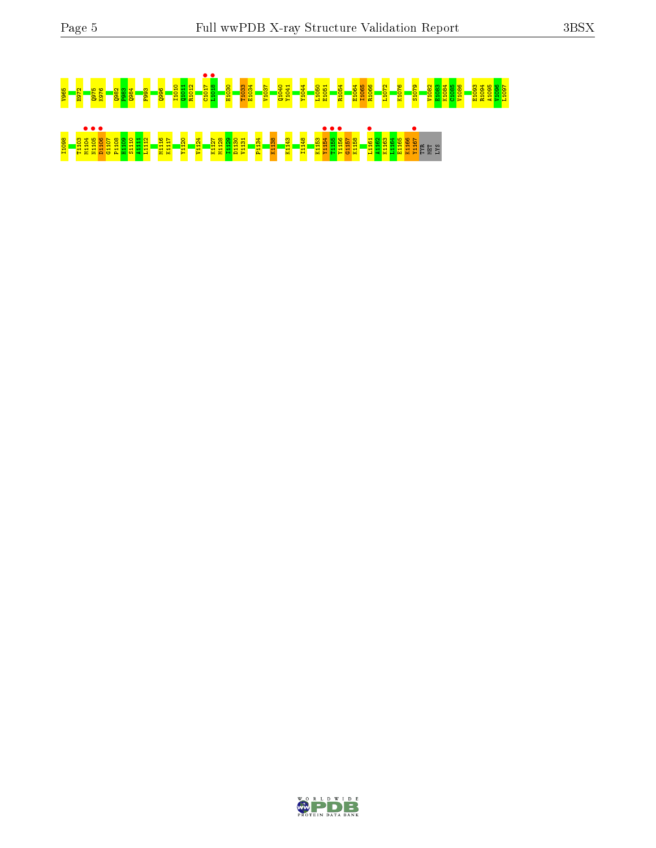# <u>s a starting and the set of the set of the set of the set of the set of the set of the set of the set of the s</u><br>Set of the set of the set of the set of the set of the set of the set of the set of the set of the set of th I1098 T1103 M1104 • N1105 • D1106 • G1107 P1108 H1109 S1110 A1111 L1112 M1116 K1117 Y1120 V1124 K1127 M1128 I1129 D1130 V1131 P1134 K1138 K1143 I1148 K1153 Y1154 • T1155 • Y1156 • G1157 K1158 L1161 • A1162 K1163 L1164 E1165 K1166 Y1167 • TYR MET LYS

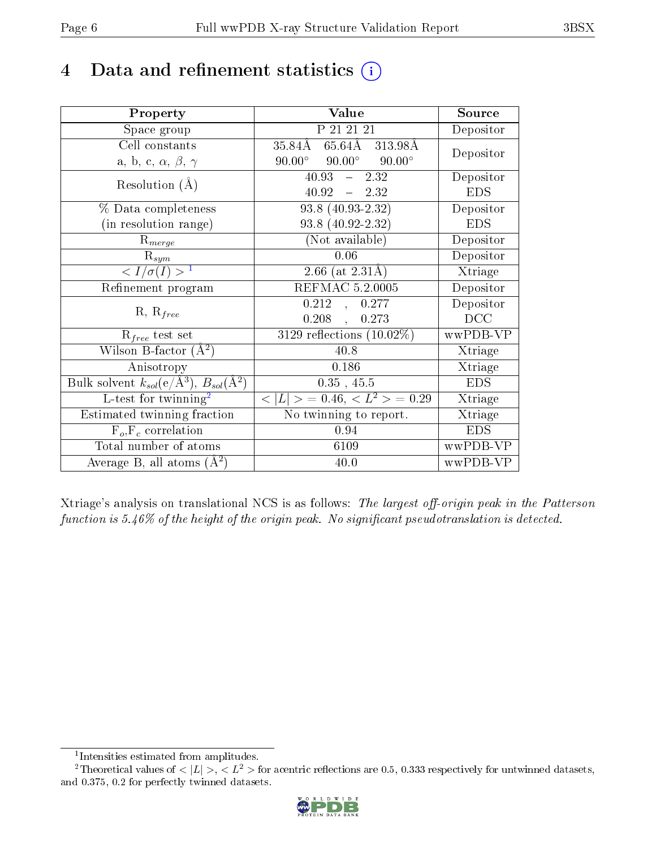# 4 Data and refinement statistics  $(i)$

| Property                                                                 | Value                                            | Source     |
|--------------------------------------------------------------------------|--------------------------------------------------|------------|
| Space group                                                              | P 21 21 21                                       | Depositor  |
| Cell constants                                                           | 65.64Å 313.98Å<br>35.84Å                         | Depositor  |
| a, b, c, $\alpha$ , $\beta$ , $\gamma$                                   | $90.00^{\circ}$ $90.00^{\circ}$<br>$90.00^\circ$ |            |
| Resolution $(A)$                                                         | 40.93<br>$-2.32$                                 | Depositor  |
|                                                                          | $40.92 = 2.32$                                   | <b>EDS</b> |
| $%$ Data completeness                                                    | 93.8 (40.93-2.32)                                | Depositor  |
| (in resolution range)                                                    | 93.8 (40.92-2.32)                                | <b>EDS</b> |
| $R_{merge}$                                                              | (Not available)                                  | Depositor  |
| $\mathrm{R}_{sym}$                                                       | 0.06                                             | Depositor  |
| $\langle I/\sigma(I) \rangle^{-1}$                                       | 2.66 (at $2.31\text{\AA})$ )                     | Xtriage    |
| Refinement program                                                       | <b>REFMAC 5.2.0005</b>                           | Depositor  |
| $R, R_{free}$                                                            | 0.212<br>0.277<br>$\ddot{\phantom{1}}$           | Depositor  |
|                                                                          | $0.208$ ,<br>0.273                               | DCC        |
| $R_{free}$ test set                                                      | $3129$ reflections $(10.02\%)$                   | wwPDB-VP   |
| Wilson B-factor $(A^2)$                                                  | 40.8                                             | Xtriage    |
| Anisotropy                                                               | 0.186                                            | Xtriage    |
| Bulk solvent $k_{sol}(\mathrm{e}/\mathrm{A}^3),$ $B_{sol}(\mathrm{A}^2)$ | 0.35, 45.5                                       | <b>EDS</b> |
| L-test for twinning <sup>2</sup>                                         | $< L >$ = 0.46, $< L2 >$ = 0.29                  | Xtriage    |
| Estimated twinning fraction                                              | $\overline{\text{No}}$ twinning to report.       | Xtriage    |
| $F_o, F_c$ correlation                                                   | 0.94                                             | <b>EDS</b> |
| Total number of atoms                                                    | 6109                                             | wwPDB-VP   |
| Average B, all atoms $(A^2)$                                             | 40.0                                             | wwPDB-VP   |

Xtriage's analysis on translational NCS is as follows: The largest off-origin peak in the Patterson function is  $5.46\%$  of the height of the origin peak. No significant pseudotranslation is detected.

<sup>&</sup>lt;sup>2</sup>Theoretical values of  $\langle |L| \rangle$ ,  $\langle L^2 \rangle$  for acentric reflections are 0.5, 0.333 respectively for untwinned datasets, and 0.375, 0.2 for perfectly twinned datasets.



<span id="page-5-1"></span><span id="page-5-0"></span><sup>1</sup> Intensities estimated from amplitudes.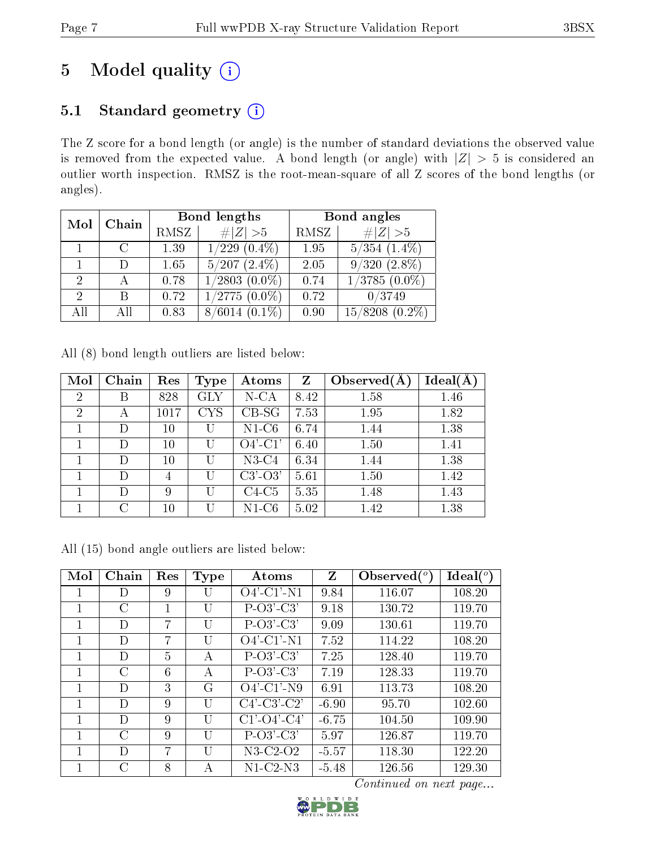# 5 Model quality  $(i)$

# 5.1 Standard geometry (i)

The Z score for a bond length (or angle) is the number of standard deviations the observed value is removed from the expected value. A bond length (or angle) with  $|Z| > 5$  is considered an outlier worth inspection. RMSZ is the root-mean-square of all Z scores of the bond lengths (or angles).

| Mol           | Chain |      | Bond lengths       | Bond angles |                      |  |
|---------------|-------|------|--------------------|-------------|----------------------|--|
|               |       | RMSZ | $\# Z >5$          | RMSZ        | # $ Z >5$            |  |
|               |       | 1.39 | $1/229$ $(0.4\%)$  | 1.95        | $5/354$ $(1.4\%)$    |  |
|               |       | 1.65 | $5/207$ $(2.4\%)$  | 2.05        | $9/320$ $(2.8\%)$    |  |
| $\Omega$      |       | 0.78 | $1/2803$ $(0.0\%)$ | 0.74        | $1/3785(0.0\%)$      |  |
| $\mathcal{D}$ | В     | 0.72 | $1/2775(0.0\%)$    | 0.72        | 0/3749               |  |
| All           | АH    | 0.83 | $8/6014(0.1\%)$    | 0.90        | 15/8208<br>$(0.2\%)$ |  |

All (8) bond length outliers are listed below:

| Mol            | Chain  | Res    | Type              | $\rm{Atoms}$  | $\mathbf{Z}$ | Observed $(A$ | $Ideal(\AA)$ |
|----------------|--------|--------|-------------------|---------------|--------------|---------------|--------------|
| $\overline{2}$ | В      | 828    | <b>GLY</b>        | $N$ -CA       | 8.42         | 1.58          | 1.46         |
| 2              |        | 1017   | $_{\mathrm{CYS}}$ | $CB-SG$       | 7.53         | 1.95          | 1.82         |
|                | D      | 10     | U                 | $N1-C6$       | 6.74         | 1.44          | 1.38         |
|                | Ð      | 10     | U                 | $O4'$ -C1'    | 6.40         | 1.50          | 1.41         |
|                | I)     | 10     | U                 | $N3-C4$       | 6.34         | 1.44          | 1.38         |
|                | D      | 4      | U                 | $C3'$ - $O3'$ | 5.61         | 1.50          | 1.42         |
|                | I)     | 9      | U                 | $C4-C5$       | 5.35         | 1.48          | 1.43         |
|                | $\cap$ | $10\,$ | U                 | $N1-C6$       | 5.02         | 1.42          | 1.38         |

All (15) bond angle outliers are listed below:

| Mol | Chain         | Res | <b>Type</b>  | Atoms                 | Z       | Observed $(°)$ | Ideal $(^\circ)$ |
|-----|---------------|-----|--------------|-----------------------|---------|----------------|------------------|
|     | D             | 9   | U            | $O4'$ -C1'-N1         | 9.84    | 116.07         | 108.20           |
|     | С             | 1   | U            | $P-O3'-C3'$           | 9.18    | 130.72         | 119.70           |
|     | D             | 7   | U            | $P-O3'-C3'$           | 9.09    | 130.61         | 119.70           |
|     | D             | 7   | U            | $O4'$ -C1'-N1         | 7.52    | 114.22         | 108.20           |
| 1   | D             | 5   | $\mathsf{A}$ | $P-O3'$ -C3'          | 7.25    | 128.40         | 119.70           |
|     | С             | 6   | А            | $P-O3'-C3'$           | 7.19    | 128.33         | 119.70           |
|     | D             | 3   | G            | $O4'$ -C1'-N9         | 6.91    | 113.73         | 108.20           |
| 1   | D             | 9   | U            | $C4'-C3'-C2'$         | $-6.90$ | 95.70          | 102.60           |
|     | D             | 9   | U            | $C1'$ - $O4'$ - $C4'$ | $-6.75$ | 104.50         | 109.90           |
|     | C             | 9   | U            | $P-O3'-C3'$           | 5.97    | 126.87         | 119.70           |
|     | D             | 7   | U            | N3-C2-O2              | $-5.57$ | 118.30         | 122.20           |
|     | $\mathcal{C}$ | 8   | А            | $N1-C2-N3$            | $-5.48$ | 126.56         | 129.30           |

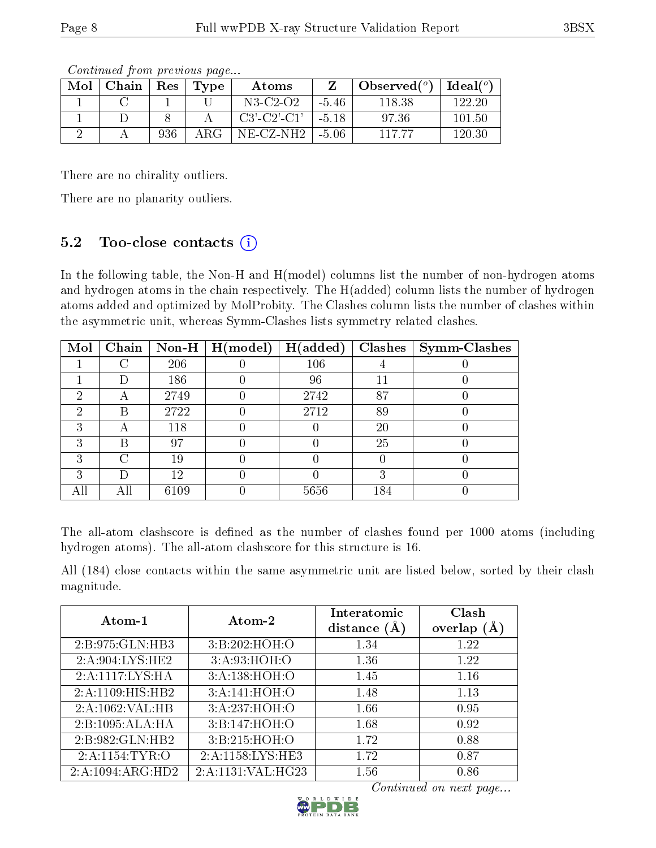| Mol | Chain | Res | Type | Atoms                 |         | Observed $(°)$ | $\Box$ Ideal( $^o$ ) |
|-----|-------|-----|------|-----------------------|---------|----------------|----------------------|
|     |       |     |      | N3-C2-O2              | $-5.46$ | 118.38         | 122-20               |
|     |       |     |      | $C3'$ - $C2'$ - $C1'$ | -5.18   | 97.36          | 101.50               |
|     |       | 936 | ARG  | NE-CZ-NH2             | $-5.06$ | 117 77         | 120.30               |

There are no chirality outliers.

There are no planarity outliers.

# 5.2 Too-close contacts  $(i)$

In the following table, the Non-H and H(model) columns list the number of non-hydrogen atoms and hydrogen atoms in the chain respectively. The H(added) column lists the number of hydrogen atoms added and optimized by MolProbity. The Clashes column lists the number of clashes within the asymmetric unit, whereas Symm-Clashes lists symmetry related clashes.

| Mol | Chain              |      | Non-H $\mid$ H(model) | H(added) | <b>Clashes</b> | <b>Symm-Clashes</b> |
|-----|--------------------|------|-----------------------|----------|----------------|---------------------|
|     | C                  | 206  |                       | 106      |                |                     |
|     |                    | 186  |                       | 96       |                |                     |
| റ   |                    | 2749 |                       | 2742     | 87             |                     |
| ച   | В                  | 2722 |                       | 2712     | 89             |                     |
| 3   |                    | 118  |                       |          | 20             |                     |
| ച   | В                  | 97   |                       |          | 25             |                     |
| ച   | $\left( \ \right)$ | 19   |                       |          |                |                     |
| 3   | Ð                  | 12   |                       |          |                |                     |
|     |                    | 6109 |                       | 5656     | 184            |                     |

The all-atom clashscore is defined as the number of clashes found per 1000 atoms (including hydrogen atoms). The all-atom clashscore for this structure is 16.

All (184) close contacts within the same asymmetric unit are listed below, sorted by their clash magnitude.

| Atom-1           | Atom-2            | Interatomic<br>distance $(\AA)$ | Clash<br>overlap $(A)$ |
|------------------|-------------------|---------------------------------|------------------------|
| 2:B:975:GLN:HB3  | 3: B:202: HOH:O   | 1.34                            | 1.22                   |
| 2:A:904:LYS:HE2  | 3: A:93: HOH:O    | 1.36                            | 1.22                   |
| 2:A:1117:LYS:HA  | 3:A:138:HOH:O     | 1.45                            | 1.16                   |
| 2:A:1109:HIS:HB2 | 3:A:141:HOH:O     | 1.48                            | 1.13                   |
| 2:A:1062:VAL:HB  | 3:A:237:HOH:O     | 1.66                            | 0.95                   |
| 2:B:1095:ALA:HA  | 3:B:147:HOH:O     | 1.68                            | 0.92                   |
| 2:B:982:GLN:HB2  | 3:B:215:HOH:O     | 1.72                            | 0.88                   |
| 2:A:1154:TYR:O   | 2:A:1158:LYS:HE3  | 1.72                            | 0.87                   |
| 2:A:1094:ARG:HD2 | 2:A:1131:VAL:HG23 | 1.56                            | 0.86                   |

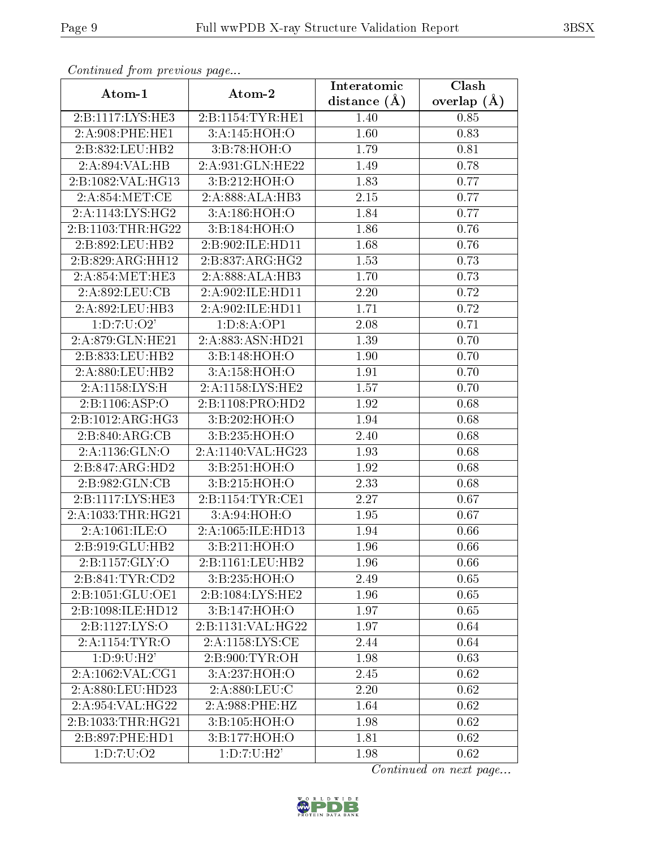| Atom-1                      | Atom-2                     | Interatomic    | <b>Clash</b>  |
|-----------------------------|----------------------------|----------------|---------------|
|                             |                            | distance $(A)$ | overlap $(A)$ |
| 2:B:1117:LYS:HE3            | 2:B:1154:TYR:HE1           | 1.40           | 0.85          |
| 2:A:908:PHE:HE1             | 3:A:145:HOH:O              | 1.60           | 0.83          |
| 2:B:832:LEU:HB2             | 3:B:78:HOH:O               | 1.79           | 0.81          |
| 2:A:894:VAL:HB              | 2:A:931:GLN:HE22           | 1.49           | 0.78          |
| 2:B:1082:VAL:HG13           | 3:B:212:HOH:O              | 1.83           | 0.77          |
| 2:A:854:MET:CE              | 2:A:888:ALA:HB3            | 2.15           | 0.77          |
| 2:A:1143:LYS:HG2            | 3:A:186:HOH:O              | 1.84           | 0.77          |
| 2:B:1103:THR:HG22           | 3: B: 184: HOH:O           | 1.86           | 0.76          |
| 2:B:892:LEU:HB2             | 2:B:902:ILE:HD11           | 1.68           | 0.76          |
| 2:B:829:ARG:HH12            | 2:B:837:ARG:HG2            | 1.53           | 0.73          |
| 2:A:854:MET:HE3             | 2:A:888:ALA:HB3            | 1.70           | 0.73          |
| 2:A:892:LEU:CB              | 2:A:902:ILE:HD11           | 2.20           | 0.72          |
| 2:A:892:LEU:HB3             | 2:A:902:ILE:HD11           | 1.71           | 0.72          |
| 1: D: 7: U: O2'             | 1:D:8:A:OP1                | 2.08           | 0.71          |
| 2:A:879:GLN:HE21            | 2:A:883:ASN:HD21           | 1.39           | 0.70          |
| 2:B:833:LEU:HB2             | 3:B:148:HOH:O              | 1.90           | 0.70          |
| 2:A:880:LEU:HB2             | 3:A:158:HOH:O              | 1.91           | 0.70          |
| 2:A:1158:LYS:H              | 2:A:1158:LYS:HE2           | 1.57           | 0.70          |
| 2:B:1106:ASP:O              | 2:B:1108:PRO:HD2           | 1.92           | 0.68          |
| 2:B:1012:ARG:HG3            | 3:B:202:HOH:O              | 1.94           | 0.68          |
| 2:B:840:ARG:CB              | 3: B:235: HOH:O            | 2.40           | 0.68          |
| 2:A:1136:GLN:O              | 2:A:1140:VAL:HG23          | 1.93           | 0.68          |
| 2:B:847:ARG:HD2             | 3:B:251:HOH:O              | 1.92           | 0.68          |
| 2:B:982:GLN:CB              | 3:B:215:HOH:O              | 2.33           | 0.68          |
| 2:B:1117:LYS:HE3            | 2: B: 1154: TYR: CE1       | 2.27           | 0.67          |
| 2:A:1033:THR:HG21           | 3:A:94:HOH:O               | 1.95           | 0.67          |
| 2:A:1061:ILE:O              | 2:A:1065:ILE:HD13          | 1.94           | 0.66          |
| 2:B:919:GLU:HB2             | 3:B:211:HOH:O              | 1.96           | 0.66          |
| 2: B: 1157: GLY: O          | 2:B:1161:LEU:HB2           | 1.96           | 0.66          |
| 2:B:841:TYR:CD2             | 3:B:235:HOH:O              | 2.49           | 0.65          |
| 2:B:1051:GLU:OE1            | 2:B:1084:LYS:HE2           | 1.96           | 0.65          |
| 2:B:1098:ILE:HD12           | 3:B:147:HOH:O              | 1.97           | 0.65          |
| 2:B:1127:LYS:O              | 2:B:1131:VAL:HG22          | 1.97           | 0.64          |
| 2:A:1154:TYR:O              | 2:A:1158:LYS:CE            | 2.44           | 0.64          |
| 1: D:9: U:H2'               | 2:B:900:TYR:OH             | 1.98           | 0.63          |
| 2:A:1062:VAL:CG1            | $3:A:237:\overline{HOH:O}$ | 2.45           | 0.62          |
| 2:A:880:LEU:HD23            | 2:A:880:LEU:C              | 2.20           | 0.62          |
| 2:A:954:VAL:HG22            | 2:A:988:PHE:HZ             | 1.64           | 0.62          |
| 2:B:1033:THR:HG21           | 3:B:105:HOH:O              | 1.98           | 0.62          |
| 2:B:897:PHE:HD1             | 3:B:177:HOH:O              | 1.81           | 0.62          |
| $1: D: 7: U: \overline{O2}$ | 1: D: 7: U:H2'             | 1.98           | 0.62          |

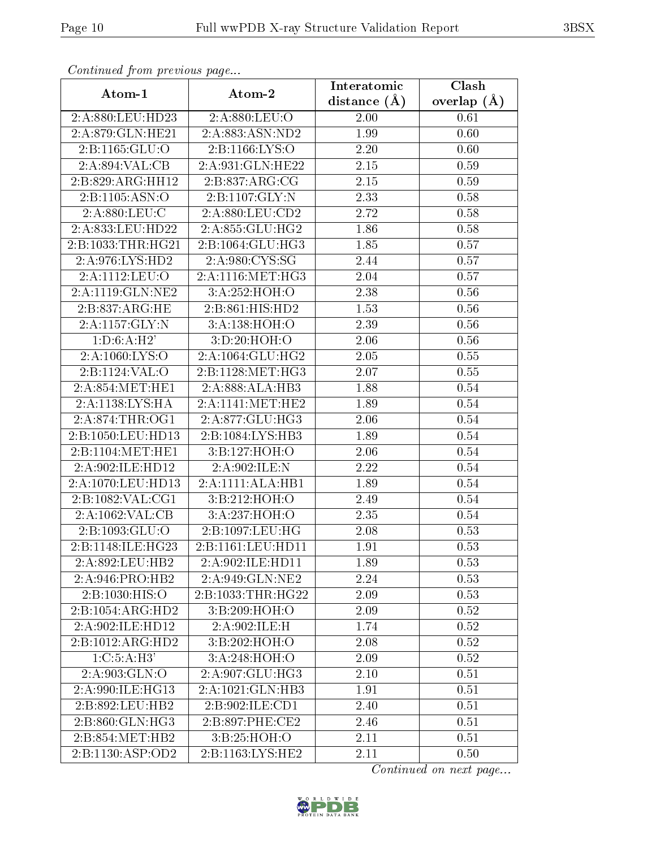| Atom-1             | Atom-2              | Interatomic      | $\overline{\text{Clash}}$ |
|--------------------|---------------------|------------------|---------------------------|
|                    |                     | distance $(\AA)$ | overlap $(A)$             |
| 2:A:880:LEU:HD23   | $2: A:880:$ LEU:O   | 2.00             | 0.61                      |
| 2:A:879:GLN:HE21   | 2:A:883:ASN:ND2     | 1.99             | 0.60                      |
| 2:Bi:1165:GLU:O    | 2:B:1166:LYS:O      | 2.20             | 0.60                      |
| 2:A:894:VAL:CB     | 2:A:931:GLN:HE22    | 2.15             | 0.59                      |
| 2:B:829:ARG:HH12   | 2:B:837:ARG:CG      | $2.15\,$         | 0.59                      |
| 2:B:1105:ASN:O     | 2:B:1107:GLY:N      | 2.33             | 0.58                      |
| 2:A:880:LEU:C      | 2:A:880:LEU:CD2     | 2.72             | 0.58                      |
| 2:A:833:LEU:HD22   | 2:A:855:GLU:HG2     | 1.86             | 0.58                      |
| 2:B:1033:THR:HG21  | 2:B:1064:GLU:HG3    | 1.85             | 0.57                      |
| 2: A:976: LYS: HD2 | 2:A:980:CYS:SG      | 2.44             | 0.57                      |
| 2:A:1112:LEU:O     | 2:A:1116:MET:HG3    | 2.04             | 0.57                      |
| 2:A:1119:GLN:NE2   | 3:A:252:HOH:O       | 2.38             | 0.56                      |
| 2: B: 837: ARG: HE | 2: B: 861: HIS: HD2 | 1.53             | 0.56                      |
| 2:A:1157:GLY:N     | 3:A:138:HOH:O       | 2.39             | 0.56                      |
| 1: D:6:A:H2'       | 3: D:20: HOH:O      | 2.06             | 0.56                      |
| 2:A:1060:LYS:O     | 2:A:1064:GLU:HG2    | 2.05             | 0.55                      |
| 2:B:1124:VAL:O     | 2:B:1128:MET:HG3    | 2.07             | 0.55                      |
| 2:A:854:MET:HE1    | 2:A:888:ALA:HB3     | 1.88             | 0.54                      |
| 2:A:1138:LYS:HA    | 2:A:1141:MET:HE2    | 1.89             | 0.54                      |
| $2:$ A:874:THR:OG1 | 2:A:877:GLU:HG3     | 2.06             | $0.54\,$                  |
| 2:B:1050:LEU:HD13  | 2:B:1084:LYS:HB3    | 1.89             | 0.54                      |
| 2:B:1104:MET:HE1   | 3:B:127:HOH:O       | 2.06             | 0.54                      |
| 2:A:902:ILE:HD12   | 2:A:902:ILE:N       | 2.22             | 0.54                      |
| 2:A:1070:LEU:HD13  | 2:A:1111:ALA:HB1    | 1.89             | 0.54                      |
| 2:B:1082:VAL:CG1   | 3:B:212:HOH:O       | 2.49             | 0.54                      |
| 2:A:1062:VAL:CB    | 3:A:237:HOH:O       | 2.35             | 0.54                      |
| 2:B:1093:GLU:O     | 2:B:1097:LEU:HG     | 2.08             | 0.53                      |
| 2:B:1148:ILE:HG23  | 2:B:1161:LEU:HD11   | 1.91             | 0.53                      |
| 2:A:892:LEU:HB2    | 2:A:902:ILE:HD11    | 1.89             | 0.53                      |
| 2:A:946:PRO:HB2    | 2:A:949:GLN:NE2     | 2.24             | 0.53                      |
| 2: B: 1030: HIS: O | 2:B:1033:THR:HG22   | 2.09             | 0.53                      |
| 2:B:1054:ARG:HD2   | 3: B:209: HOH:O     | 2.09             | 0.52                      |
| 2:A:902:ILE:HD12   | 2:A:902:ILE:H       | 1.74             | 0.52                      |
| 2:B:1012:ARG:HD2   | 3:B:202:HOH:O       | 2.08             | 0.52                      |
| 1: C: 5: A:H3'     | 3:A:248:HOH:O       | 2.09             | 0.52                      |
| 2:A:903:GLN:O      | 2:A:907:GLU:HG3     | 2.10             | 0.51                      |
| 2:A:990:ILE:HG13   | 2:A:1021:GLN:HB3    | 1.91             | 0.51                      |
| 2:B:892:LEU:HB2    | 2:B:902:ILE:CD1     | 2.40             | 0.51                      |
| 2:B:860:GLN:HG3    | 2:B:897:PHE:CE2     | 2.46             | 0.51                      |
| 2:B:854:MET:HB2    | 3:B:25:HOH:O        | 2.11             | 0.51                      |
| 2:B:1130:ASP:OD2   | 2:B:1163:LYS:HE2    | 2.11             | 0.50                      |

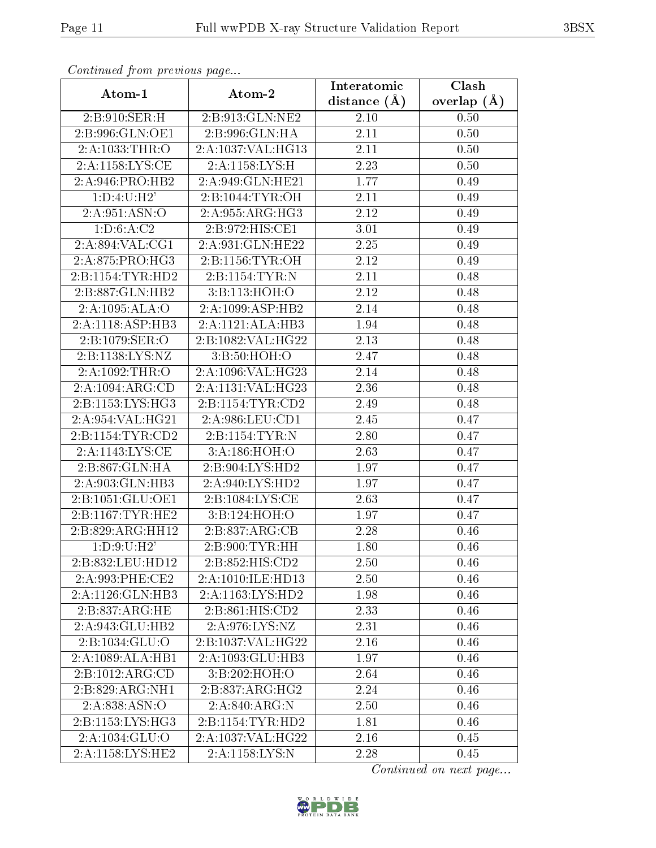| Atom-1               | Atom-2                             | Interatomic      | Clash         |
|----------------------|------------------------------------|------------------|---------------|
|                      |                                    | distance $(\AA)$ | overlap $(A)$ |
| 2:B:910:SER:H        | 2:B:913:GLN:NE2                    | 2.10             | 0.50          |
| 2:B:996:GLN:OE1      | 2:B:996:GLN:HA                     | 2.11             | 0.50          |
| 2:A:1033:THR:O       | 2:A:1037:VAL:HG13                  | 2.11             | 0.50          |
| 2:A:1158:LYS:CE      | 2:A:1158:LYS:H                     | 2.23             | 0.50          |
| 2:A:946:PRO:HB2      | 2:A:949:GLN:HE21                   | 1.77             | 0.49          |
| 1: D: 4: U:H2'       | 2:B:1044:TYR:OH                    | 2.11             | 0.49          |
| 2:A:951:ASN:O        | 2:A:955:ARG:HG3                    | 2.12             | 0.49          |
| 1: D:6:A:C2          | 2:B:972:HIS:CE1                    | 3.01             | 0.49          |
| 2:A:894:VAL:CG1      | 2:A:931:GLN:HE22                   | 2.25             | 0.49          |
| 2:A:875:PRO:HG3      | 2:B:1156:TYR:OH                    | 2.12             | 0.49          |
| 2:B:1154:TYR:HD2     | 2:B:1154:TYR:N                     | 2.11             | 0.48          |
| 2:B:887:GLN:HB2      | 3:B:113:HOH:O                      | 2.12             | 0.48          |
| 2:A:1095:ALA:O       | 2:A:1099:ASP:HB2                   | 2.14             | 0.48          |
| 2:A:1118:ASP:HB3     | 2:A:1121:ALA:HB3                   | 1.94             | 0.48          |
| 2:B:1079:SER:O       | 2:B:1082:VAL:HG22                  | 2.13             | 0.48          |
| 2:B:1138:LYS:NZ      | 3:B:50:HOH:O                       | 2.47             | 0.48          |
| 2:A:1092:THR:O       | 2:A:1096:VAL:HG23                  | 2.14             | 0.48          |
| 2:A:1094:ARG:CD      | 2:A:1131:VAL:HG23                  | 2.36             | 0.48          |
| 2:B:1153:LYS:HG3     | 2:B:1154:TYR:CD2                   | 2.49             | 0.48          |
| 2:A:954:VAL:HG21     | 2:A:986:LEU:CD1                    | 2.45             | 0.47          |
| 2: B: 1154: TYR: CD2 | 2:B:1154:TYR:N                     | 2.80             | 0.47          |
| 2:A:1143:LYS:CE      | 3:A:186:HOH:O                      | 2.63             | 0.47          |
| 2:B:867:GLN:HA       | 2:B:904:LYS:HD2                    | 1.97             | 0.47          |
| 2:A:903:GLN:HB3      | 2:A:940:LYS:HD2                    | 1.97             | 0.47          |
| 2:B:1051:GLU:OE1     | 2:B:1084:LYS:CE                    | 2.63             | 0.47          |
| 2:B:1167:TYR:HE2     | 3:B:124:HOH:O                      | 1.97             | 0.47          |
| 2:B:829:ARG:HH12     | 2:B:837:ARG:CB                     | 2.28             | 0.46          |
| 1: D:9: U:H2'        | 2:B:900:TYR:HH                     | 1.80             | 0.46          |
| 2:B:832:LEU:HD12     | 2: B: 852: HIS: CD2                | 2.50             | 0.46          |
| 2:A:993:PHE:CE2      | 2:A:1010:ILE:HD13                  | 2.50             | 0.46          |
| 2:A:1126:GLN:HB3     | 2:A:1163:LYS:HD2                   | 1.98             | 0.46          |
| 2: B: 837: ARG: HE   | 2:B:861:HIS:CD2                    | 2.33             | 0.46          |
| 2:A:943:GLU:HB2      | 2:A:976:LYS:NZ                     | 2.31             | 0.46          |
| 2:B:1034:GLU:O       | 2:B:1037:VAL:HG22                  | 2.16             | 0.46          |
| 2:A:1089:ALA:HB1     | 2:A:1093:GLU:HB3                   | 1.97             | 0.46          |
| 2:B:1012:ARG:CD      | 3:B:202:HOH:O                      | 2.64             | 0.46          |
| 2:B:829:ARG:NH1      | 2:B:837:ARG:HG2                    | 2.24             | 0.46          |
| 2:A:838:ASN:O        | 2:A:840:ARG:N                      | 2.50             | 0.46          |
| 2:B:1153:LYS:HG3     | $2:B:1154:TYR:H\overline{D2}$      | 1.81             | 0.46          |
| 2:A:1034:GLU:O       | 2:A:1037:VAL:HG22                  | 2.16             | 0.45          |
| 2:A:1158:LYS:HE2     | $2:A:1158:\overline{\text{LYS:N}}$ | 2.28             | 0.45          |

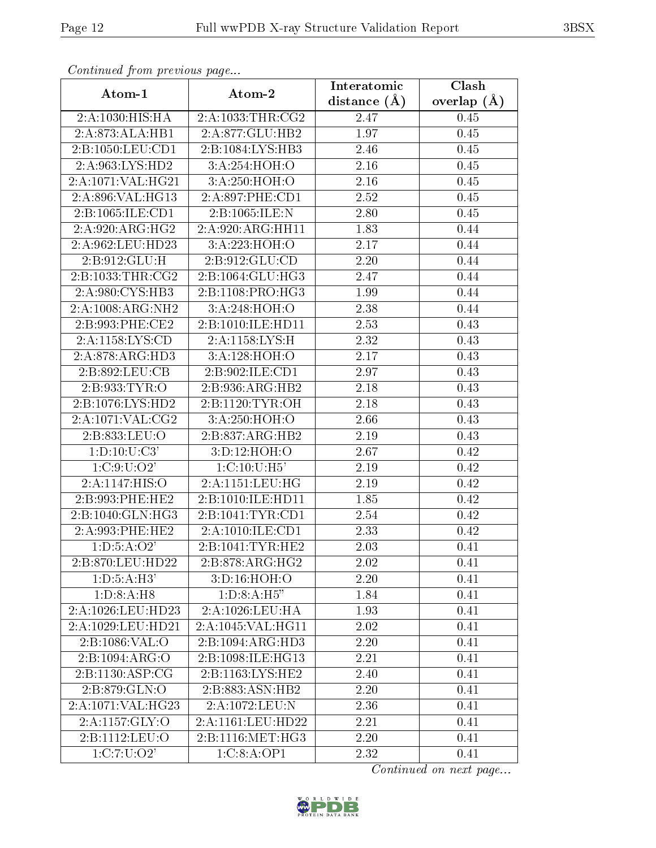| connunction proctotic page<br>Atom-1 | Atom-2              | Interatomic    | $\overline{\text{Clash}}$ |
|--------------------------------------|---------------------|----------------|---------------------------|
|                                      |                     | distance $(A)$ | overlap $(A)$             |
| 2:A:1030:HIS:HA                      | 2:A:1033:THR:CG2    | 2.47           | 0.45                      |
| 2:A:873:ALA:HB1                      | 2:A:877:GLU:HB2     | 1.97           | 0.45                      |
| 2:B:1050:LEU:CD1                     | 2:B:1084:LYS:HB3    | 2.46           | 0.45                      |
| 2:A:963:LYS:HD2                      | 3:A:254:HOH:O       | 2.16           | 0.45                      |
| 2:A:1071:VAL:HG21                    | 3:A:250:HOH:O       | 2.16           | 0.45                      |
| 2:A:896:VAL:HG13                     | 2:A:897:PHE:CD1     | 2.52           | 0.45                      |
| 2:B:1065:ILE:CD1                     | 2:B:1065:ILE:N      | 2.80           | 0.45                      |
| 2:A:920:ARG:HG2                      | 2:A:920:ARG:HH11    | 1.83           | 0.44                      |
| 2:A:962:LEU:HD23                     | 3:A:223:HOH:O       | 2.17           | 0.44                      |
| 2:B:912:GLU:H                        | 2: B: 912: GLU: CD  | 2.20           | 0.44                      |
| 2:B:1033:THR:CG2                     | 2:B:1064:GLU:HG3    | 2.47           | 0.44                      |
| 2:A:980:CYS:HB3                      | 2:B:1108:PRO:HG3    | 1.99           | 0.44                      |
| 2:A:1008:ARG:NH2                     | 3:A:248:HOH:O       | 2.38           | 0.44                      |
| 2:B:993:PHE:CE2                      | 2:B:1010:ILE:HD11   | 2.53           | 0.43                      |
| 2:A:1158:LYS:CD                      | 2:A:1158:LYS:H      | 2.32           | 0.43                      |
| 2: A:878:ARG:HD3                     | 3:A:128:HOH:O       | 2.17           | 0.43                      |
| 2:B:892:LEU:CB                       | 2:B:902:ILE:CD1     | 2.97           | 0.43                      |
| 2:B:933:TYR:O                        | 2:B:936:ARG:HB2     | 2.18           | 0.43                      |
| 2:B:1076:LYS:HD2                     | 2: B: 1120: TYR: OH | 2.18           | 0.43                      |
| 2:A:1071:VAL:CG2                     | 3:A:250:HOH:O       | 2.66           | 0.43                      |
| 2:B:833:LEU:O                        | 2:B:837:ARG:HB2     | 2.19           | 0.43                      |
| 1: D: 10: U: C3'                     | 3:D:12:HOH:O        | 2.67           | 0.42                      |
| 1: C: 9: U: O2'                      | 1:C:10:U:H5'        | 2.19           | 0.42                      |
| 2:A:1147:HIS:O                       | 2:A:1151:LEU:HG     | 2.19           | 0.42                      |
| 2:B:993:PHE:HE2                      | 2:B:1010:ILE:HD11   | 1.85           | 0.42                      |
| 2:B:1040:GLN:HG3                     | 2:B:1041:TYR:CD1    | 2.54           | 0.42                      |
| 2:A:993:PHE:HE2                      | 2:A:1010:ILE:CD1    | 2.33           | 0.42                      |
| 1: D: 5: A: O2'                      | 2:B:1041:TYR:HE2    | 2.03           | 0.41                      |
| 2:B:870:LEU:HD22                     | 2:B:878:ARG:HG2     | 2.02           | 0.41                      |
| 1: D: 5: A: H3'                      | 3:D:16:HOH:O        | 2.20           | 0.41                      |
| 1: D: 8: A: H8                       | 1: D:8:A:H5"        | 1.84           | 0.41                      |
| 2:A:1026:LEU:HD23                    | 2:A:1026:LEU:HA     | 1.93           | 0.41                      |
| 2:A:1029:LEU:HD21                    | 2:A:1045:VAL:HG11   | 2.02           | 0.41                      |
| $2:B:1086:\overline{\mathrm{VAL:O}}$ | 2:B:1094:ARG:HD3    | 2.20           | 0.41                      |
| 2:B:1094:ARG:O                       | 2:B:1098:ILE:HG13   | 2.21           | 0.41                      |
| 2: B: 1130: ASP: CG                  | 2:B:1163:LYS:HE2    | 2.40           | 0.41                      |
| 2:B:879:GLN:O                        | 2:B:883:ASN:HB2     | 2.20           | 0.41                      |
| 2:A:1071:VAL:HG23                    | 2:A:1072:LEU:N      | 2.36           | 0.41                      |
| 2:A:1157:GLY:O                       | 2:A:1161:LEU:HD22   | 2.21           | 0.41                      |
| 2:B:1112:LEU:O                       | 2:B:1116:MET:HG3    | 2.20           | 0.41                      |
| 1:C:7:U:O2'                          | 1:C:8:A:OP1         | 2.32           | 0.41                      |

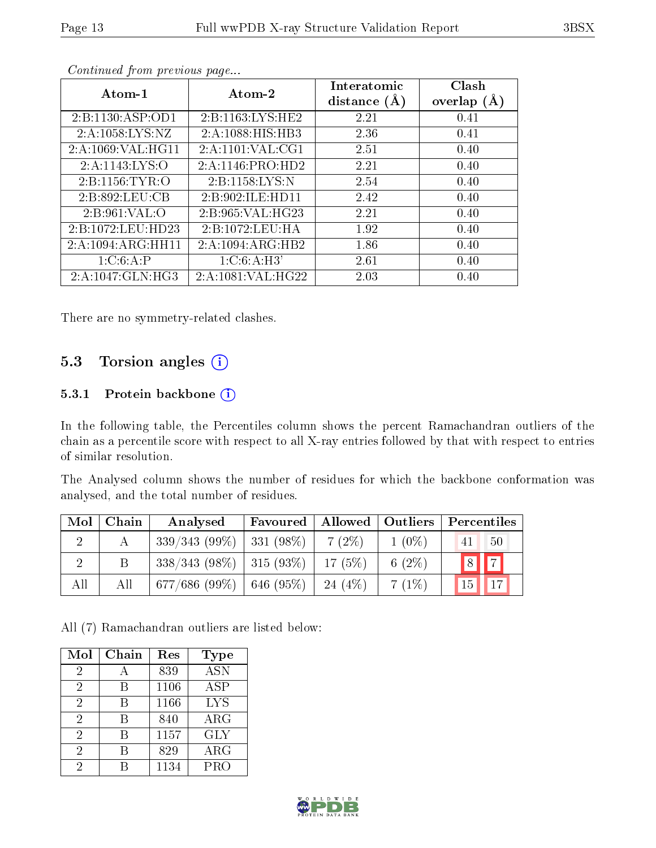| Atom-1             | Atom-2               | Interatomic<br>distance $(A)$ | Clash<br>overlap $(A)$ |
|--------------------|----------------------|-------------------------------|------------------------|
| 2:B:1130:ASP:OD1   | 2: B: 1163: LYS: HE2 | 2.21                          | 0.41                   |
| 2:A:1058:LYS:NZ    | 2:A:1088:HIS:HB3     | 2.36                          | 0.41                   |
| 2:A:1069:VAL:HG11  | 2: A: 1101: VAL: CG1 | 2.51                          | 0.40                   |
| 2:A:1143:LYS:O     | 2:A:1146:PRO:HD2     | 2.21                          | 0.40                   |
| 2: B: 1156: TYR: O | 2: B: 1158: LYS: N   | 2.54                          | 0.40                   |
| 2:B:892:LEU:CB     | 2: B:902: ILE: HD11  | 2.42                          | 0.40                   |
| 2: B: 961: VAL: O  | 2:B:965:VAL:HG23     | 2.21                          | 0.40                   |
| 2:B:1072:LEU:HD23  | 2:B:1072:LEU:HA      | 1.92                          | 0.40                   |
| 2:A:1094:ARG:HH11  | 2:A:1094:ARG:HB2     | 1.86                          | 0.40                   |
| 1:C:6:A:P          | 1: C:6:A:H3'         | 2.61                          | 0.40                   |
| 2:A:1047:GLN:HG3   | 2:A:1081:VAL:HG22    | 2.03                          | 0.40                   |

There are no symmetry-related clashes.

## 5.3 Torsion angles (i)

#### 5.3.1 Protein backbone (i)

In the following table, the Percentiles column shows the percent Ramachandran outliers of the chain as a percentile score with respect to all X-ray entries followed by that with respect to entries of similar resolution.

The Analysed column shows the number of residues for which the backbone conformation was analysed, and the total number of residues.

| Mol | Chain | Analysed                      | Favoured       | Allowed   Outliers |           | Percentiles           |
|-----|-------|-------------------------------|----------------|--------------------|-----------|-----------------------|
|     |       | 339/343(99%)                  | $ 331 (98\%)$  | $7(2\%)$           | $1(0\%)$  | 50<br>41              |
|     | Β     | $338/343$ (98\%)   315 (93\%) |                | 17(5%)             | 6 $(2\%)$ |                       |
| All | All   | 677/686 (99%)                 | $  646 (95\%)$ | 24 $(4%)$          | 7(1%)     | 17 <sub>1</sub><br>15 |

All (7) Ramachandran outliers are listed below:

| Mol            | Chain | Res  | <b>Type</b> |
|----------------|-------|------|-------------|
| 2              |       | 839  | ASN         |
| 2              | R     | 1106 | <b>ASP</b>  |
| $\overline{2}$ | В     | 1166 | <b>LYS</b>  |
| $\overline{2}$ | B     | 840  | ${\rm ARG}$ |
| 2              | R     | 1157 | <b>GLY</b>  |
| 2              | R     | 829  | $\rm{ARG}$  |
| 2              |       | 1134 | PRO         |

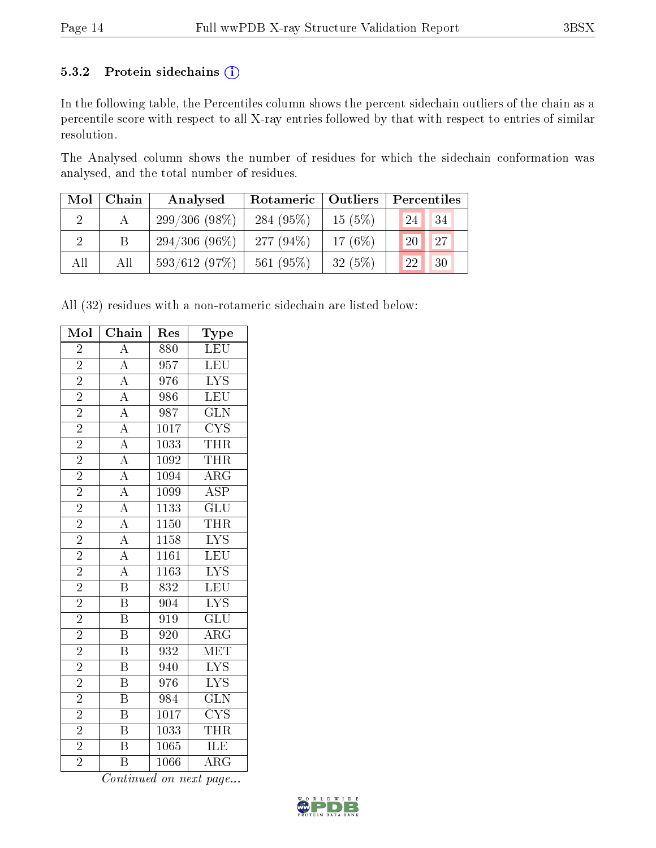#### 5.3.2 Protein sidechains (i)

In the following table, the Percentiles column shows the percent sidechain outliers of the chain as a percentile score with respect to all X-ray entries followed by that with respect to entries of similar resolution.

The Analysed column shows the number of residues for which the sidechain conformation was analysed, and the total number of residues.

| Mol | Chain | Analysed        | Rotameric   Outliers |        | Percentiles |
|-----|-------|-----------------|----------------------|--------|-------------|
|     |       | $299/306(98\%)$ | 284 $(95\%)$         | 15(5%) | 34<br>24    |
|     | Β     | $294/306(96\%)$ | 277 $(94\%)$         | 17(6%) | 27<br>20    |
| All | All   | 593/612(97%)    | 561 $(95%)$          | 32(5%) | 30<br>22    |

All (32) residues with a non-rotameric sidechain are listed below:

| Mol                      | $\overline{\text{Chain}}$                                                                                   | Res               | $_{\rm Type}$           |
|--------------------------|-------------------------------------------------------------------------------------------------------------|-------------------|-------------------------|
| $\overline{2}$           | $\overline{A}$                                                                                              | 880               | <b>LEU</b>              |
| $\overline{2}$           |                                                                                                             | 957               | $\overline{\text{LEU}}$ |
| $\overline{2}$           | $\frac{\overline{A}}{\overline{A}}$                                                                         | 976               | $\overline{\text{LYS}}$ |
| $\overline{2}$           |                                                                                                             | 986               | LEU                     |
| $\overline{2}$           | $\frac{\overline{A}}{\overline{A}}$                                                                         | 987               | $\overline{\text{GLN}}$ |
| $\overline{2}$           |                                                                                                             | $\overline{1017}$ | $\overline{\text{CYS}}$ |
| $\overline{2}$           | $\overline{A}$                                                                                              | 1033              | <b>THR</b>              |
| $\overline{2}$           | $\overline{A}$                                                                                              | 1092              | THR                     |
| $\overline{2}$           | $\frac{\overline{A}}{\overline{A}}$ $\frac{\overline{A}}{\overline{A}}$ $\frac{\overline{A}}{\overline{A}}$ | 1094              | $\overline{\rm{ARG}}$   |
| $\overline{2}$           |                                                                                                             | 1099              | $\overline{\text{ASP}}$ |
| $\overline{2}$           |                                                                                                             | $\overline{1133}$ | $\overline{\text{GLU}}$ |
| $\overline{2}$           |                                                                                                             | <b>1150</b>       | <b>THR</b>              |
| $\overline{2}$           |                                                                                                             | $\overline{1158}$ | $\overline{\text{LYS}}$ |
| $\overline{2}$           |                                                                                                             | $\overline{1161}$ | $\overline{\text{LEU}}$ |
| $\overline{2}$           | $\frac{\overline{A}}{\overline{B}}$                                                                         | 1163              | <b>LYS</b>              |
| $\overline{2}$           |                                                                                                             | $\overline{832}$  | $\overline{\text{LEU}}$ |
| $\overline{2}$           | $\overline{\mathbf{B}}$                                                                                     | $\overline{904}$  | $\overline{\text{LYS}}$ |
| $\overline{2}$           | $\overline{\text{B}}$                                                                                       | 919               | $\overline{\text{GLU}}$ |
| $\overline{2}$           | $\overline{\mathrm{B}}$                                                                                     | $\overline{920}$  | $\overline{\text{ARG}}$ |
| $\overline{2}$           | B                                                                                                           | 932               | MET                     |
| $\overline{2}$           | $\overline{\mathrm{B}}$                                                                                     | 940               | $\overline{\text{LYS}}$ |
| $\overline{2}$           | $\overline{\mathrm{B}}$                                                                                     | 976               | $\overline{\text{LYS}}$ |
|                          | B                                                                                                           | 984               | $\overline{\text{GLN}}$ |
| $\frac{\overline{2}}{2}$ | $\overline{\mathrm{B}}$                                                                                     | 1017              | $\overline{\text{CYS}}$ |
|                          | $\overline{\mathrm{B}}$                                                                                     | 1033              | <b>THR</b>              |
| $\overline{2}$           | $\overline{\mathrm{B}}$                                                                                     | $\overline{1065}$ | <b>ILE</b>              |
| $\overline{2}$           | $\overline{\mathrm{B}}$                                                                                     | 1066              | ARG                     |

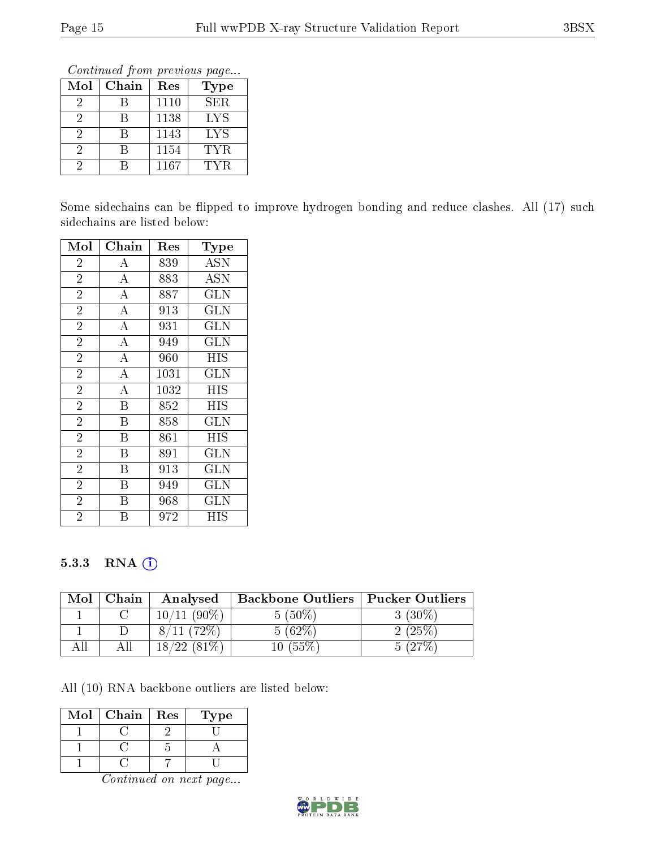Continued from previous page...

| Mol | Chain | Res  | Type |
|-----|-------|------|------|
| 2   |       | 1110 | SER. |
| 2   |       | 1138 | LYS  |
| 2   |       | 1143 | LYS  |
| 2   |       | 1154 | TYR. |
|     |       | 1167 | TYR  |

Some sidechains can be flipped to improve hydrogen bonding and reduce clashes. All (17) such sidechains are listed below:

| Mol            | Chain                   | Res  | Type                      |
|----------------|-------------------------|------|---------------------------|
| $\overline{2}$ | $\boldsymbol{A}$        | 839  | ASN                       |
| $\overline{2}$ | $\overline{A}$          | 883  | $\overline{\mathrm{ASN}}$ |
| $\overline{2}$ | $\overline{\rm A}$      | 887  | <b>GLN</b>                |
| $\overline{2}$ | $\overline{\rm A}$      | 913  | <b>GLN</b>                |
| $\overline{2}$ | $\overline{A}$          | 931  | GLN                       |
| $\overline{2}$ | $\overline{\rm A}$      | 949  | <b>GLN</b>                |
| $\overline{2}$ | $\overline{\rm A}$      | 960  | HIS                       |
| $\overline{2}$ | $\overline{\rm A}$      | 1031 | GLN                       |
| $\overline{2}$ | $\overline{\rm A}$      | 1032 | HIS                       |
| $\overline{2}$ | B                       | 852  | <b>HIS</b>                |
| $\overline{2}$ | B                       | 858  | GLN                       |
| $\overline{2}$ | $\overline{\mathrm{B}}$ | 861  | HIS                       |
| $\overline{2}$ | B                       | 891  | <b>GLN</b>                |
| $\overline{2}$ | $\overline{\mathrm{B}}$ | 913  | $\overline{\text{GLN}}$   |
| $\overline{2}$ | Β                       | 949  | GLN                       |
| $\overline{2}$ | Β                       | 968  | GLN                       |
| $\overline{2}$ | В                       | 972  | HIS                       |

#### 5.3.3 RNA [O](https://www.wwpdb.org/validation/2017/XrayValidationReportHelp#rna)i

| Mol | Chain | Analysed      | <b>Backbone Outliers</b> | Pucker Outliers |
|-----|-------|---------------|--------------------------|-----------------|
|     |       | $10/11(90\%)$ | $5(50\%)$                | $3(30\%)$       |
|     |       | $11(72\%)$    | 5(62%)                   | 2(25%)          |
|     | Аll   | 18/22(81%)    | $10\ (55\%)$             | $127\%$         |

All (10) RNA backbone outliers are listed below:

| Mol | Chain | Res | `ype |
|-----|-------|-----|------|
|     |       |     |      |
|     |       |     |      |
|     |       |     |      |

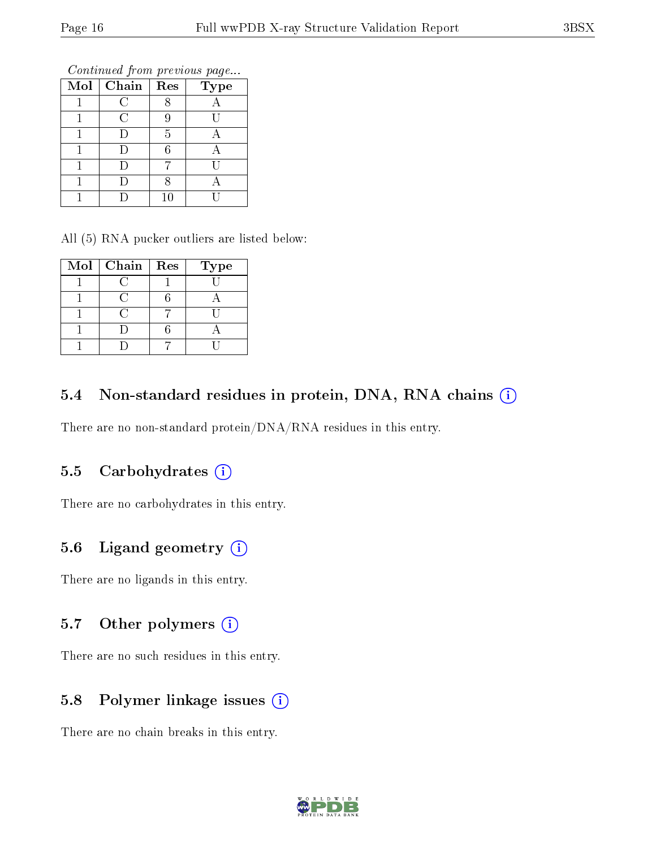Continued from previous page...

| Mol | Chain        | Res    | <b>Type</b> |
|-----|--------------|--------|-------------|
|     | $\mathsf{C}$ |        |             |
|     | C            | Ч      |             |
|     |              | 5      |             |
|     |              | հ      |             |
|     |              |        |             |
|     |              |        |             |
|     |              | $10\,$ |             |

All (5) RNA pucker outliers are listed below:

| $Mol$   Chain   Res | <b>Type</b> |
|---------------------|-------------|
|                     |             |
|                     |             |
|                     |             |
|                     |             |
|                     |             |

## 5.4 Non-standard residues in protein, DNA, RNA chains (i)

There are no non-standard protein/DNA/RNA residues in this entry.

#### 5.5 Carbohydrates  $(i)$

There are no carbohydrates in this entry.

# 5.6 Ligand geometry (i)

There are no ligands in this entry.

# 5.7 [O](https://www.wwpdb.org/validation/2017/XrayValidationReportHelp#nonstandard_residues_and_ligands)ther polymers (i)

There are no such residues in this entry.

# 5.8 Polymer linkage issues (i)

There are no chain breaks in this entry.

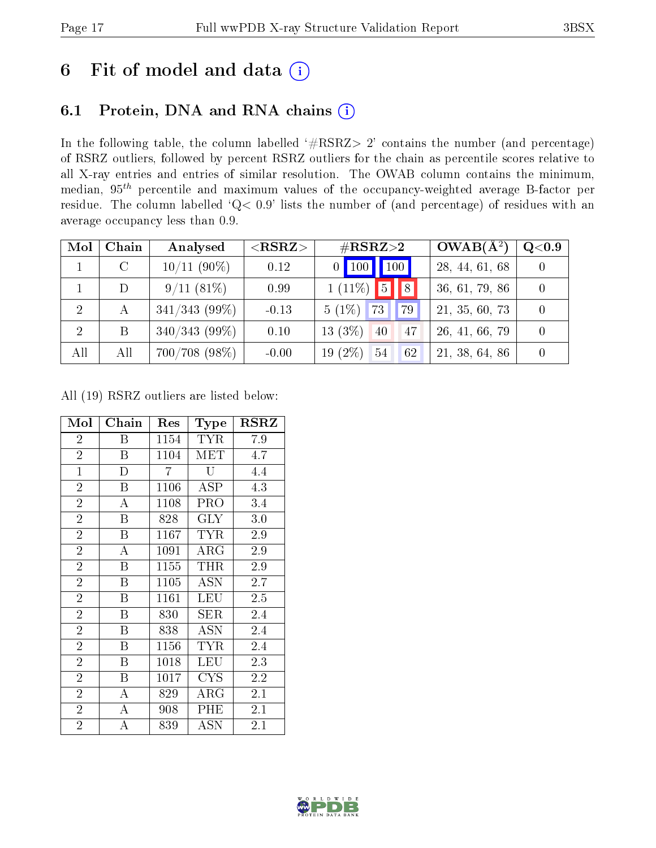# 6 Fit of model and data  $(i)$

# 6.1 Protein, DNA and RNA chains  $(i)$

In the following table, the column labelled  $#RSRZ> 2'$  contains the number (and percentage) of RSRZ outliers, followed by percent RSRZ outliers for the chain as percentile scores relative to all X-ray entries and entries of similar resolution. The OWAB column contains the minimum, median,  $95<sup>th</sup>$  percentile and maximum values of the occupancy-weighted average B-factor per residue. The column labelled ' $Q< 0.9$ ' lists the number of (and percentage) of residues with an average occupancy less than 0.9.

| Mol            | Chain         | Analysed         | $<$ RSRZ $>$ | $\#\text{RSRZ}{>}2$   | $OWAB(A^2)$    | $\rm Q\textcolor{black}{<}0.9$ |
|----------------|---------------|------------------|--------------|-----------------------|----------------|--------------------------------|
|                | $\mathcal{C}$ | $10/11$ (90%)    | 0.12         | $0$ 100 100           | 28, 44, 61, 68 |                                |
|                | D             | $9/11(81\%)$     | 0.99         | $1(11\%)$ 5 8         | 36, 61, 79, 86 |                                |
| -2             | А             | $341/343$ (99\%) | $-0.13$      | $5(1\%)$<br>73<br>79  | 21, 35, 60, 73 |                                |
| $\overline{2}$ | B             | $340/343$ (99%)  | 0.10         | $13(3\%)$<br>40<br>47 | 26, 41, 66, 79 |                                |
| All            | All           | $700/708$ (98\%) | $-0.00$      | $19(2\%)$<br>54<br>62 | 21, 38, 64, 86 |                                |

All (19) RSRZ outliers are listed below:

| Mol            | Chain              | Res  | Type       | $_{\rm RSRZ}$ |
|----------------|--------------------|------|------------|---------------|
| $\overline{2}$ | Β                  | 1154 | <b>TYR</b> | 7.9           |
| $\overline{2}$ | B                  | 1104 | MET        | 4.7           |
| $\mathbf{1}$   | $\mathbf{D}$       | 7    | U          | 4.4           |
| $\overline{2}$ | B                  | 1106 | ASP        | 4.3           |
| $\overline{2}$ | $\overline{\rm A}$ | 1108 | PRO        | 3.4           |
| $\overline{2}$ | B                  | 828  | $\rm GLY$  | 3.0           |
| $\overline{2}$ | B                  | 1167 | <b>TYR</b> | 2.9           |
| $\overline{2}$ | A                  | 1091 | $\rm{ARG}$ | 2.9           |
| $\overline{2}$ | $\boldsymbol{B}$   | 1155 | THR        | 2.9           |
| $\overline{2}$ | B                  | 1105 | <b>ASN</b> | 2.7           |
| $\overline{2}$ | B                  | 1161 | LEU        | $2.5\,$       |
| $\overline{2}$ | B                  | 830  | SER        | 2.4           |
| $\overline{2}$ | B                  | 838  | ASN        | 2.4           |
| $\overline{2}$ | B                  | 1156 | <b>TYR</b> | 2.4           |
| $\overline{2}$ | B                  | 1018 | <b>LEU</b> | 2.3           |
| $\overline{2}$ | $\boldsymbol{B}$   | 1017 | <b>CYS</b> | $2.2\,$       |
| $\overline{2}$ | А                  | 829  | $\rm{ARG}$ | 2.1           |
| $\overline{2}$ | А                  | 908  | PHE        | 2.1           |
| $\overline{2}$ | A                  | 839  | ASN        | 2.1           |